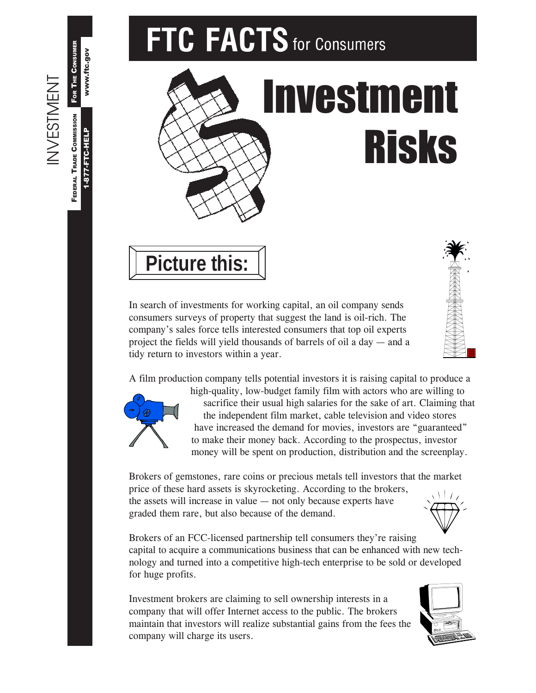# **FTC FACTS** for Consumers





In search of investments for working capital, an oil company sends consumers surveys of property that suggest the land is oil-rich. The company's sales force tells interested consumers that top oil experts project the fields will yield thousands of barrels of oil a day  $-$  and a tidy return to investors within a year.





INVESTMENT

**INVESTMENT** 

1-877-FTC-HELP

1-877-FTC-HELP

www.ftc.gov

www.ftc.gov

FEDERAL TRADE COMMISSION FOR THE CONSUMER

Federal Trade Commission For The Consumer

high-quality, low-budget family film with actors who are willing to sacrifice their usual high salaries for the sake of art. Claiming that the independent film market, cable television and video stores have increased the demand for movies, investors are "guaranteed" to make their money back. According to the prospectus, investor money will be spent on production, distribution and the screenplay.

Brokers of gemstones, rare coins or precious metals tell investors that the market price of these hard assets is skyrocketing. According to the brokers, the assets will increase in value  $-$  not only because experts have graded them rare, but also because of the demand.

Brokers of an FCC-licensed partnership tell consumers they're raising capital to acquire a communications business that can be enhanced with new technology and turned into a competitive high-tech enterprise to be sold or developed for huge profits.

Investment brokers are claiming to sell ownership interests in a company that will offer Internet access to the public. The brokers maintain that investors will realize substantial gains from the fees the company will charge its users.



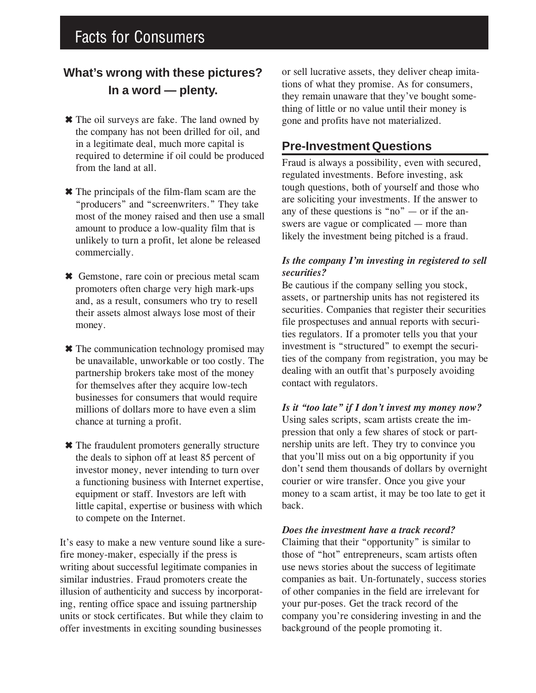# Facts for Consumers

## **What's wrong with these pictures? In a word — plenty.**

- ✖ The oil surveys are fake. The land owned by the company has not been drilled for oil, and in a legitimate deal, much more capital is required to determine if oil could be produced from the land at all.
- ✖ The principals of the film-flam scam are the "producers" and "screenwriters." They take most of the money raised and then use a small amount to produce a low-quality film that is unlikely to turn a profit, let alone be released commercially.
- ✖ Gemstone, rare coin or precious metal scam promoters often charge very high mark-ups and, as a result, consumers who try to resell their assets almost always lose most of their money.
- ✖ The communication technology promised may be unavailable, unworkable or too costly. The partnership brokers take most of the money for themselves after they acquire low-tech businesses for consumers that would require millions of dollars more to have even a slim chance at turning a profit.
- ✖ The fraudulent promoters generally structure the deals to siphon off at least 85 percent of investor money, never intending to turn over a functioning business with Internet expertise, equipment or staff. Investors are left with little capital, expertise or business with which to compete on the Internet.

It's easy to make a new venture sound like a surefire money-maker, especially if the press is writing about successful legitimate companies in similar industries. Fraud promoters create the illusion of authenticity and success by incorporating, renting office space and issuing partnership units or stock certificates. But while they claim to offer investments in exciting sounding businesses

or sell lucrative assets, they deliver cheap imitations of what they promise. As for consumers, they remain unaware that they've bought something of little or no value until their money is gone and profits have not materialized.

### **Pre-Investment Questions**

Fraud is always a possibility, even with secured, regulated investments. Before investing, ask tough questions, both of yourself and those who are soliciting your investments. If the answer to any of these questions is "no"  $-$  or if the answers are vague or complicated – more than likely the investment being pitched is a fraud.

#### Is the company I'm investing in registered to sell *securities?*

Be cautious if the company selling you stock, assets, or partnership units has not registered its securities. Companies that register their securities file prospectuses and annual reports with securities regulators. If a promoter tells you that your investment is "structured" to exempt the securities of the company from registration, you may be dealing with an outfit that's purposely avoiding contact with regulators.

Is it "too late" if I don't invest my money now? Using sales scripts, scam artists create the impression that only a few shares of stock or partnership units are left. They try to convince you that youíll miss out on a big opportunity if you don't send them thousands of dollars by overnight courier or wire transfer. Once you give your money to a scam artist, it may be too late to get it back.

#### *Does the investment have a track record?*

Claiming that their "opportunity" is similar to those of "hot" entrepreneurs, scam artists often use news stories about the success of legitimate companies as bait. Un-fortunately, success stories of other companies in the field are irrelevant for your pur-poses. Get the track record of the company you're considering investing in and the background of the people promoting it.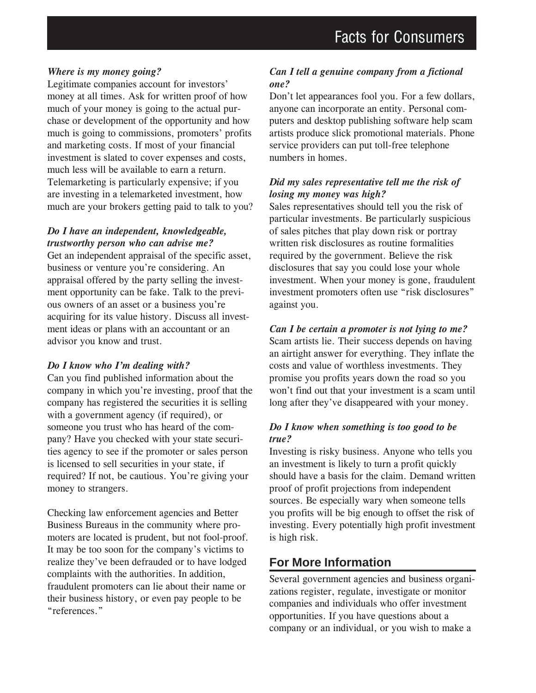#### *Where is my money going?*

Legitimate companies account for investors' money at all times. Ask for written proof of how much of your money is going to the actual purchase or development of the opportunity and how much is going to commissions, promoters' profits and marketing costs. If most of your financial investment is slated to cover expenses and costs, much less will be available to earn a return. Telemarketing is particularly expensive; if you are investing in a telemarketed investment, how much are your brokers getting paid to talk to you?

#### *Do I have an independent, knowledgeable, trustworthy person who can advise me?*

Get an independent appraisal of the specific asset, business or venture you're considering. An appraisal offered by the party selling the investment opportunity can be fake. Talk to the previous owners of an asset or a business you're acquiring for its value history. Discuss all investment ideas or plans with an accountant or an advisor you know and trust.

#### *Do I know who Iím dealing with?*

Can you find published information about the company in which you're investing, proof that the company has registered the securities it is selling with a government agency (if required), or someone you trust who has heard of the company? Have you checked with your state securities agency to see if the promoter or sales person is licensed to sell securities in your state, if required? If not, be cautious. You're giving your money to strangers.

Checking law enforcement agencies and Better Business Bureaus in the community where promoters are located is prudent, but not fool-proof. It may be too soon for the company's victims to realize they've been defrauded or to have lodged complaints with the authorities. In addition, fraudulent promoters can lie about their name or their business history, or even pay people to be "references."

#### *Can I tell a genuine company from a fictional one?*

Don't let appearances fool you. For a few dollars, anyone can incorporate an entity. Personal computers and desktop publishing software help scam artists produce slick promotional materials. Phone service providers can put toll-free telephone numbers in homes.

#### *Did my sales representative tell me the risk of losing my money was high?*

Sales representatives should tell you the risk of particular investments. Be particularly suspicious of sales pitches that play down risk or portray written risk disclosures as routine formalities required by the government. Believe the risk disclosures that say you could lose your whole investment. When your money is gone, fraudulent investment promoters often use "risk disclosures" against you.

#### *Can I be certain a promoter is not lying to me?*

Scam artists lie. Their success depends on having an airtight answer for everything. They inflate the costs and value of worthless investments. They promise you profits years down the road so you won't find out that your investment is a scam until long after they've disappeared with your money.

#### *Do I know when something is too good to be true?*

Investing is risky business. Anyone who tells you an investment is likely to turn a profit quickly should have a basis for the claim. Demand written proof of profit projections from independent sources. Be especially wary when someone tells you profits will be big enough to offset the risk of investing. Every potentially high profit investment is high risk.

## **For More Information**

Several government agencies and business organizations register, regulate, investigate or monitor companies and individuals who offer investment opportunities. If you have questions about a company or an individual, or you wish to make a